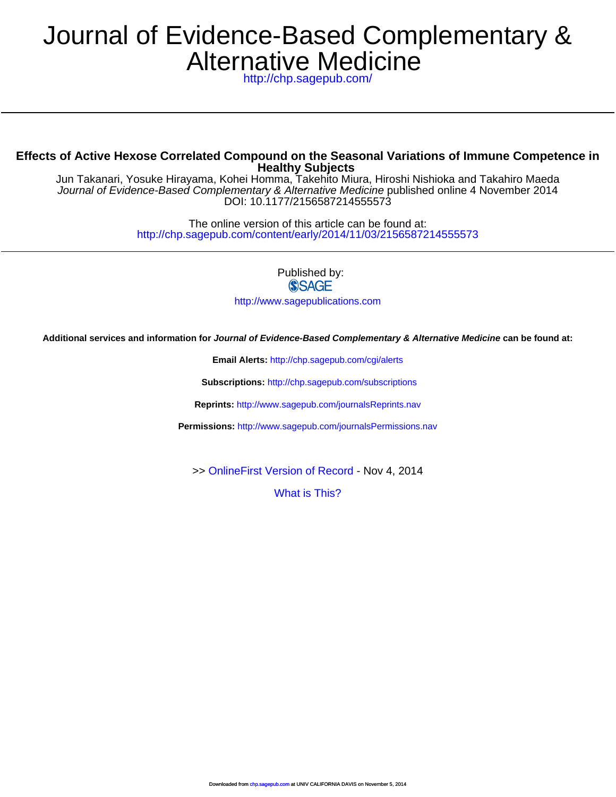# Alternative Medicine Journal of Evidence-Based Complementary &

<http://chp.sagepub.com/>

## **Healthy Subjects Effects of Active Hexose Correlated Compound on the Seasonal Variations of Immune Competence in**

DOI: 10.1177/2156587214555573 Journal of Evidence-Based Complementary & Alternative Medicine published online 4 November 2014 Jun Takanari, Yosuke Hirayama, Kohei Homma, Takehito Miura, Hiroshi Nishioka and Takahiro Maeda

> <http://chp.sagepub.com/content/early/2014/11/03/2156587214555573> The online version of this article can be found at:

> > Published by: **SSAGE**

<http://www.sagepublications.com>

**Additional services and information for Journal of Evidence-Based Complementary & Alternative Medicine can be found at:**

**Email Alerts:** <http://chp.sagepub.com/cgi/alerts>

**Subscriptions:** <http://chp.sagepub.com/subscriptions>

**Reprints:** <http://www.sagepub.com/journalsReprints.nav>

**Permissions:** <http://www.sagepub.com/journalsPermissions.nav>

>> [OnlineFirst Version of Record -](http://chp.sagepub.com/content/early/2014/11/03/2156587214555573.full.pdf) Nov 4, 2014

[What is This?](http://online.sagepub.com/site/sphelp/vorhelp.xhtml)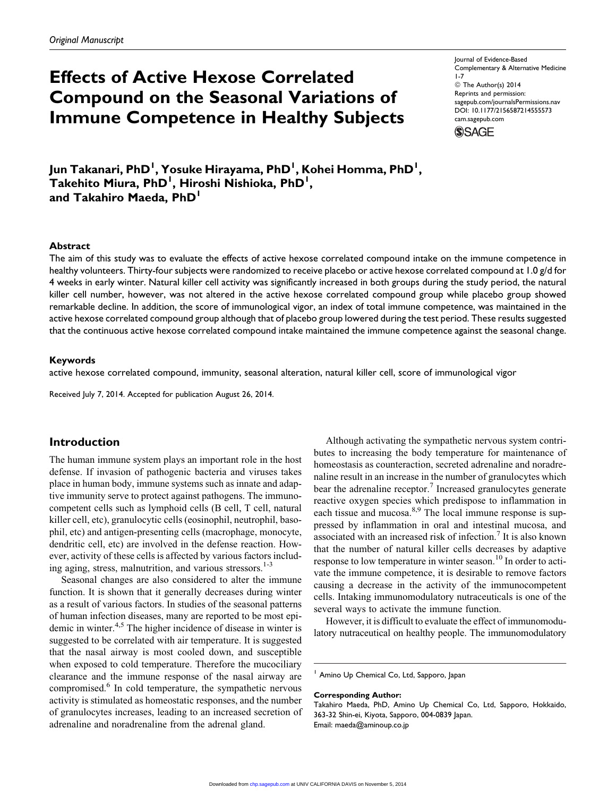## Effects of Active Hexose Correlated Compound on the Seasonal Variations of Immune Competence in Healthy Subjects

Journal of Evidence-Based Complementary & Alternative Medicine 1-7 © The Author(s) 2014 Reprints and permission: [sagepub.com/journalsPermissions.nav](http://www.sagepub.com/journalsPermissions.nav) DOI: 10.1177/2156587214555573 [cam.sagepub.com](http://cam.sagepub.com)

**SSAGE** 

Jun Takanari, PhD<sup>I</sup>, Yosuke Hirayama, PhD<sup>I</sup>, Kohei Homma, PhD<sup>I</sup>, Takehito Miura, PhD<sup>1</sup>, Hiroshi Nishioka, PhD<sup>1</sup>, and Takahiro Maeda, PhD<sup>1</sup>

#### Abstract

The aim of this study was to evaluate the effects of active hexose correlated compound intake on the immune competence in healthy volunteers. Thirty-four subjects were randomized to receive placebo or active hexose correlated compound at 1.0 g/d for 4 weeks in early winter. Natural killer cell activity was significantly increased in both groups during the study period, the natural killer cell number, however, was not altered in the active hexose correlated compound group while placebo group showed remarkable decline. In addition, the score of immunological vigor, an index of total immune competence, was maintained in the active hexose correlated compound group although that of placebo group lowered during the test period. These results suggested that the continuous active hexose correlated compound intake maintained the immune competence against the seasonal change.

#### Keywords

active hexose correlated compound, immunity, seasonal alteration, natural killer cell, score of immunological vigor

Received July 7, 2014. Accepted for publication August 26, 2014.

## Introduction

The human immune system plays an important role in the host defense. If invasion of pathogenic bacteria and viruses takes place in human body, immune systems such as innate and adaptive immunity serve to protect against pathogens. The immunocompetent cells such as lymphoid cells (B cell, T cell, natural killer cell, etc), granulocytic cells (eosinophil, neutrophil, basophil, etc) and antigen-presenting cells (macrophage, monocyte, dendritic cell, etc) are involved in the defense reaction. However, activity of these cells is affected by various factors including aging, stress, malnutrition, and various stressors.<sup>1-3</sup>

Seasonal changes are also considered to alter the immune function. It is shown that it generally decreases during winter as a result of various factors. In studies of the seasonal patterns of human infection diseases, many are reported to be most epidemic in winter.<sup>4,5</sup> The higher incidence of disease in winter is suggested to be correlated with air temperature. It is suggested that the nasal airway is most cooled down, and susceptible when exposed to cold temperature. Therefore the mucociliary clearance and the immune response of the nasal airway are compromised.<sup>6</sup> In cold temperature, the sympathetic nervous activity is stimulated as homeostatic responses, and the number of granulocytes increases, leading to an increased secretion of adrenaline and noradrenaline from the adrenal gland.

Although activating the sympathetic nervous system contributes to increasing the body temperature for maintenance of homeostasis as counteraction, secreted adrenaline and noradrenaline result in an increase in the number of granulocytes which bear the adrenaline receptor.<sup>7</sup> Increased granulocytes generate reactive oxygen species which predispose to inflammation in each tissue and mucosa. $8.9$  The local immune response is suppressed by inflammation in oral and intestinal mucosa, and associated with an increased risk of infection.<sup>7</sup> It is also known that the number of natural killer cells decreases by adaptive response to low temperature in winter season.<sup>10</sup> In order to activate the immune competence, it is desirable to remove factors causing a decrease in the activity of the immunocompetent cells. Intaking immunomodulatory nutraceuticals is one of the several ways to activate the immune function.

However, it is difficult to evaluate the effect of immunomodulatory nutraceutical on healthy people. The immunomodulatory

Amino Up Chemical Co, Ltd, Sapporo, Japan

#### Corresponding Author:

Takahiro Maeda, PhD, Amino Up Chemical Co, Ltd, Sapporo, Hokkaido, 363-32 Shin-ei, Kiyota, Sapporo, 004-0839 Japan. Email: maeda@aminoup.co.jp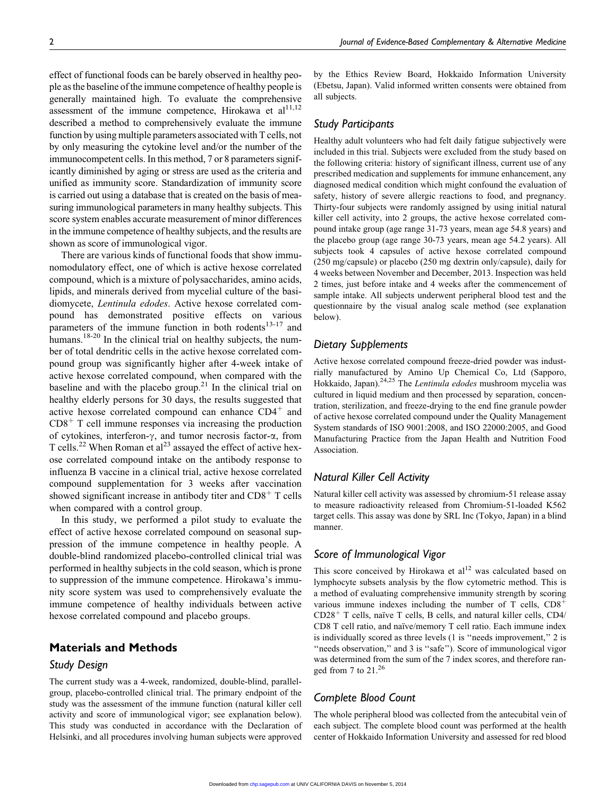effect of functional foods can be barely observed in healthy people as the baseline of the immune competence of healthy people is generally maintained high. To evaluate the comprehensive assessment of the immune competence, Hirokawa et  $al<sup>11,12</sup>$ described a method to comprehensively evaluate the immune function by using multiple parameters associated with T cells, not by only measuring the cytokine level and/or the number of the immunocompetent cells. In this method, 7 or 8 parameters significantly diminished by aging or stress are used as the criteria and unified as immunity score. Standardization of immunity score is carried out using a database that is created on the basis of measuring immunological parameters in many healthy subjects. This score system enables accurate measurement of minor differences in the immune competence of healthy subjects, and the results are shown as score of immunological vigor.

There are various kinds of functional foods that show immunomodulatory effect, one of which is active hexose correlated compound, which is a mixture of polysaccharides, amino acids, lipids, and minerals derived from mycelial culture of the basidiomycete, Lentinula edodes. Active hexose correlated compound has demonstrated positive effects on various parameters of the immune function in both rodents $13-17$  and humans.<sup>18-20</sup> In the clinical trial on healthy subjects, the number of total dendritic cells in the active hexose correlated compound group was significantly higher after 4-week intake of active hexose correlated compound, when compared with the baseline and with the placebo group.<sup>21</sup> In the clinical trial on healthy elderly persons for 30 days, the results suggested that active hexose correlated compound can enhance  $CD4^+$  and  $CD8<sup>+</sup>$  T cell immune responses via increasing the production of cytokines, interferon- $\gamma$ , and tumor necrosis factor- $\alpha$ , from T cells.<sup>22</sup> When Roman et al<sup>23</sup> assayed the effect of active hexose correlated compound intake on the antibody response to influenza B vaccine in a clinical trial, active hexose correlated compound supplementation for 3 weeks after vaccination showed significant increase in antibody titer and  $CD8<sup>+</sup>$  T cells when compared with a control group.

In this study, we performed a pilot study to evaluate the effect of active hexose correlated compound on seasonal suppression of the immune competence in healthy people. A double-blind randomized placebo-controlled clinical trial was performed in healthy subjects in the cold season, which is prone to suppression of the immune competence. Hirokawa's immunity score system was used to comprehensively evaluate the immune competence of healthy individuals between active hexose correlated compound and placebo groups.

## Materials and Methods

## Study Design

The current study was a 4-week, randomized, double-blind, parallelgroup, placebo-controlled clinical trial. The primary endpoint of the study was the assessment of the immune function (natural killer cell activity and score of immunological vigor; see explanation below). This study was conducted in accordance with the Declaration of Helsinki, and all procedures involving human subjects were approved

by the Ethics Review Board, Hokkaido Information University (Ebetsu, Japan). Valid informed written consents were obtained from all subjects.

### Study Participants

Healthy adult volunteers who had felt daily fatigue subjectively were included in this trial. Subjects were excluded from the study based on the following criteria: history of significant illness, current use of any prescribed medication and supplements for immune enhancement, any diagnosed medical condition which might confound the evaluation of safety, history of severe allergic reactions to food, and pregnancy. Thirty-four subjects were randomly assigned by using initial natural killer cell activity, into 2 groups, the active hexose correlated compound intake group (age range 31-73 years, mean age 54.8 years) and the placebo group (age range 30-73 years, mean age 54.2 years). All subjects took 4 capsules of active hexose correlated compound (250 mg/capsule) or placebo (250 mg dextrin only/capsule), daily for 4 weeks between November and December, 2013. Inspection was held 2 times, just before intake and 4 weeks after the commencement of sample intake. All subjects underwent peripheral blood test and the questionnaire by the visual analog scale method (see explanation below).

## Dietary Supplements

Active hexose correlated compound freeze-dried powder was industrially manufactured by Amino Up Chemical Co, Ltd (Sapporo, Hokkaido, Japan).<sup>24,25</sup> The *Lentinula edodes* mushroom mycelia was cultured in liquid medium and then processed by separation, concentration, sterilization, and freeze-drying to the end fine granule powder of active hexose correlated compound under the Quality Management System standards of ISO 9001:2008, and ISO 22000:2005, and Good Manufacturing Practice from the Japan Health and Nutrition Food Association.

## Natural Killer Cell Activity

Natural killer cell activity was assessed by chromium-51 release assay to measure radioactivity released from Chromium-51-loaded K562 target cells. This assay was done by SRL Inc (Tokyo, Japan) in a blind manner.

## Score of Immunological Vigor

This score conceived by Hirokawa et  $al<sup>12</sup>$  was calculated based on lymphocyte subsets analysis by the flow cytometric method. This is a method of evaluating comprehensive immunity strength by scoring various immune indexes including the number of  $T$  cells,  $CD8<sup>+</sup>$  $CD28<sup>+</sup>$  T cells, naïve T cells, B cells, and natural killer cells,  $CD4/$ CD8 T cell ratio, and naïve/memory T cell ratio. Each immune index is individually scored as three levels (1 is ''needs improvement,'' 2 is "needs observation," and 3 is "safe"). Score of immunological vigor was determined from the sum of the 7 index scores, and therefore ranged from 7 to  $21<sup>26</sup>$ 

## Complete Blood Count

The whole peripheral blood was collected from the antecubital vein of each subject. The complete blood count was performed at the health center of Hokkaido Information University and assessed for red blood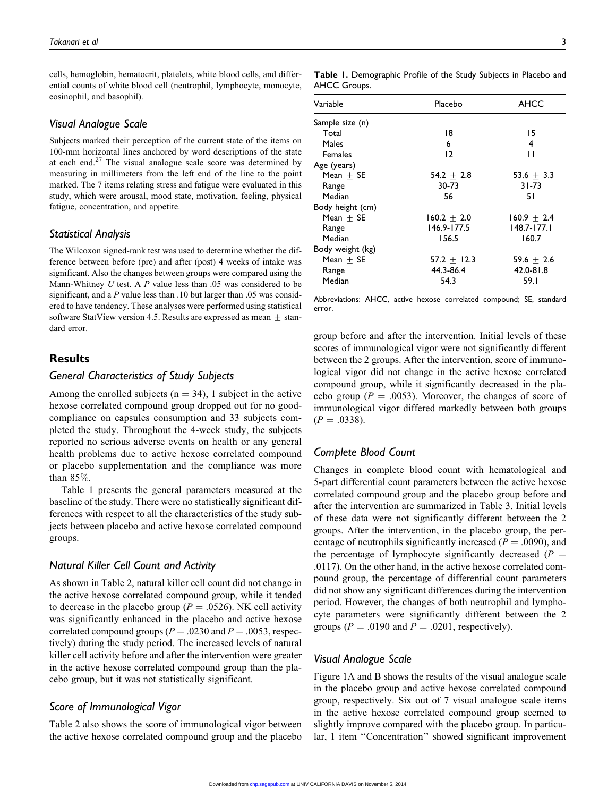cells, hemoglobin, hematocrit, platelets, white blood cells, and differential counts of white blood cell (neutrophil, lymphocyte, monocyte, eosinophil, and basophil).

## Visual Analogue Scale

Subjects marked their perception of the current state of the items on 100-mm horizontal lines anchored by word descriptions of the state at each end. $27$  The visual analogue scale score was determined by measuring in millimeters from the left end of the line to the point marked. The 7 items relating stress and fatigue were evaluated in this study, which were arousal, mood state, motivation, feeling, physical fatigue, concentration, and appetite.

#### Statistical Analysis

The Wilcoxon signed-rank test was used to determine whether the difference between before (pre) and after (post) 4 weeks of intake was significant. Also the changes between groups were compared using the Mann-Whitney  $U$  test. A  $P$  value less than .05 was considered to be significant, and a P value less than .10 but larger than .05 was considered to have tendency. These analyses were performed using statistical software StatView version 4.5. Results are expressed as mean  $\pm$  standard error.

## Results

## General Characteristics of Study Subjects

Among the enrolled subjects ( $n = 34$ ), 1 subject in the active hexose correlated compound group dropped out for no goodcompliance on capsules consumption and 33 subjects completed the study. Throughout the 4-week study, the subjects reported no serious adverse events on health or any general health problems due to active hexose correlated compound or placebo supplementation and the compliance was more than 85%.

Table 1 presents the general parameters measured at the baseline of the study. There were no statistically significant differences with respect to all the characteristics of the study subjects between placebo and active hexose correlated compound groups.

## Natural Killer Cell Count and Activity

As shown in Table 2, natural killer cell count did not change in the active hexose correlated compound group, while it tended to decrease in the placebo group ( $P = .0526$ ). NK cell activity was significantly enhanced in the placebo and active hexose correlated compound groups ( $P = .0230$  and  $P = .0053$ , respectively) during the study period. The increased levels of natural killer cell activity before and after the intervention were greater in the active hexose correlated compound group than the placebo group, but it was not statistically significant.

## Score of Immunological Vigor

Table 2 also shows the score of immunological vigor between the active hexose correlated compound group and the placebo Table 1. Demographic Profile of the Study Subjects in Placebo and AHCC Groups.

| Variable         | Placebo       | AHCC            |  |
|------------------|---------------|-----------------|--|
| Sample size (n)  |               |                 |  |
| Total            | 18            | 15              |  |
| Males            | 6             | 4               |  |
| <b>Females</b>   | 12            | Н               |  |
| Age (years)      |               |                 |  |
| Mean $+$ SE      | $54.2 + 2.8$  | $53.6 + 3.3$    |  |
| Range            | 30-73         | $31 - 73$       |  |
| Median           | 56            | 51              |  |
| Body height (cm) |               |                 |  |
| Mean $+$ SE      | $160.2 + 2.0$ | $160.9 + 2.4$   |  |
| Range            | 146.9-177.5   | $148.7 - 177.1$ |  |
| Median           | 156.5         | 160.7           |  |
| Body weight (kg) |               |                 |  |
| Mean $+$ SE      | $57.2 + 12.3$ | 59.6 $\pm$ 2.6  |  |
| Range            | 44.3-86.4     | 42.0-81.8       |  |
| Median           | 54.3          | 59.I            |  |

Abbreviations: AHCC, active hexose correlated compound; SE, standard error.

group before and after the intervention. Initial levels of these scores of immunological vigor were not significantly different between the 2 groups. After the intervention, score of immunological vigor did not change in the active hexose correlated compound group, while it significantly decreased in the placebo group ( $P = .0053$ ). Moreover, the changes of score of immunological vigor differed markedly between both groups  $(P = .0338)$ .

## Complete Blood Count

Changes in complete blood count with hematological and 5-part differential count parameters between the active hexose correlated compound group and the placebo group before and after the intervention are summarized in Table 3. Initial levels of these data were not significantly different between the 2 groups. After the intervention, in the placebo group, the percentage of neutrophils significantly increased ( $P = .0090$ ), and the percentage of lymphocyte significantly decreased  $(P =$ .0117). On the other hand, in the active hexose correlated compound group, the percentage of differential count parameters did not show any significant differences during the intervention period. However, the changes of both neutrophil and lymphocyte parameters were significantly different between the 2 groups ( $P = .0190$  and  $P = .0201$ , respectively).

## Visual Analogue Scale

Figure 1A and B shows the results of the visual analogue scale in the placebo group and active hexose correlated compound group, respectively. Six out of 7 visual analogue scale items in the active hexose correlated compound group seemed to slightly improve compared with the placebo group. In particular, 1 item "Concentration" showed significant improvement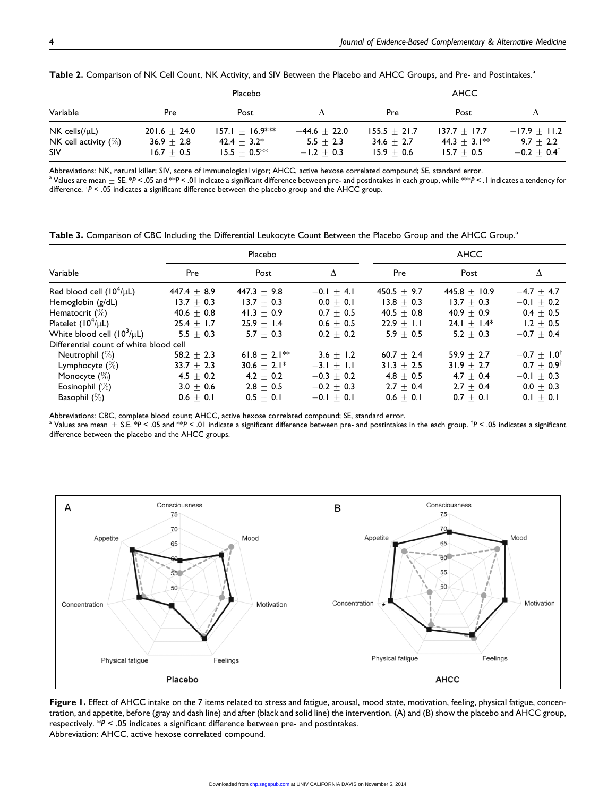$-0.2 \pm 0.4$ 

 $15.9 \pm 0.6$  15.7  $\pm$  0.5

|                                                  | Placebo                        |                                    |                               | <b>AHCC</b>                    |                                  |                               |  |  |  |  |
|--------------------------------------------------|--------------------------------|------------------------------------|-------------------------------|--------------------------------|----------------------------------|-------------------------------|--|--|--|--|
| Variable                                         | Pre                            | Post                               |                               | Pre                            | Post                             |                               |  |  |  |  |
| $NK$ cells(/ $\mu$ L)<br>NK cell activity $(\%)$ | $201.6 + 24.0$<br>$36.9 + 2.8$ | $157.1 + 16.9***$<br>$42.4 + 3.2*$ | $-44.6 + 22.0$<br>$5.5 + 2.3$ | $155.5 + 21.7$<br>$34.6 + 2.7$ | $137.7 + 17.7$<br>$44.3 + 3.1**$ | $-17.9 + 11.2$<br>$9.7 + 2.2$ |  |  |  |  |

Table 2. Comparison of NK Cell Count, NK Activity, and SIV Between the Placebo and AHCC Groups, and Pre- and Postintakes.<sup>a</sup>

Abbreviations: NK, natural killer; SIV, score of immunological vigor; AHCC, active hexose correlated compound; SE, standard error.

SIV 16.7  $\pm$  0.5 15.5  $\pm$  0.5<sup>\*\*</sup> -1.2  $\pm$  0.3

<sup>a</sup> Values are mean  $\pm$  SE. \*P < .05 and \*\*P < .01 indicate a significant difference between pre- and postintakes in each group, while \*\*P < .1 indicates a tendency for difference.  ${}^{\dagger}P$  < .05 indicates a significant difference between the placebo group and the AHCC group.

Table 3. Comparison of CBC Including the Differential Leukocyte Count Between the Placebo Group and the AHCC Group.<sup>a</sup>

|                                        | Placebo       |                 |              | <b>AHCC</b>   |                |                           |
|----------------------------------------|---------------|-----------------|--------------|---------------|----------------|---------------------------|
| Variable                               | Pre           | Post            | Δ            | Pre           | Post           | $\Lambda$                 |
| Red blood cell $(10^4/\mu L)$          | $447.4 + 8.9$ | 447.3 $\pm$ 9.8 | $-0.1 + 4.1$ | $450.5 + 9.7$ | $445.8 + 10.9$ | $-4.7 + 4.7$              |
| Hemoglobin (g/dL)                      | $13.7 + 0.3$  | $13.7 + 0.3$    | $0.0 + 0.1$  | $13.8 + 0.3$  | $13.7 + 0.3$   | $-0.1 + 0.2$              |
| Hematocrit $(\%)$                      | $40.6 + 0.8$  | $41.3 + 0.9$    | $0.7 + 0.5$  | $40.5 + 0.8$  | $40.9 + 0.9$   | $0.4 + 0.5$               |
| Platelet $(10^4/\mu L)$                | $25.4 + 1.7$  | $25.9 + 1.4$    | $0.6 + 0.5$  | $22.9 + 1.1$  | $24.1 + 1.4*$  | $1.2 + 0.5$               |
| White blood cell $(10^3/\mu L)$        | $5.5 + 0.3$   | $5.7 + 0.3$     | $0.2 + 0.2$  | $5.9 + 0.5$   | $5.2 + 0.3$    | $-0.7 + 0.4$              |
| Differential count of white blood cell |               |                 |              |               |                |                           |
| Neutrophil $(\%)$                      | $58.2 + 2.3$  | $61.8 + 2.1**$  | $3.6 + 1.2$  | $60.7 + 2.4$  | $59.9 + 2.7$   | $-0.7 + 1.0$ <sup>T</sup> |
| Lymphocyte $(\%)$                      | $33.7 + 2.3$  | $30.6 + 2.1*$   | $-3.1 + 1.1$ | $31.3 + 2.5$  | $31.9 + 2.7$   | $0.7 \pm 0.9^{\dagger}$   |
| Monocyte $(\%)$                        | $4.5 + 0.2$   | $4.2 + 0.2$     | $-0.3 + 0.2$ | $4.8 + 0.5$   | $4.7 + 0.4$    | $-0.1 + 0.3$              |
| Eosinophil $(\%)$                      | $3.0 \pm 0.6$ | $2.8 + 0.5$     | $-0.2 + 0.3$ | $2.7 + 0.4$   | $2.7 + 0.4$    | $0.0 + 0.3$               |
| Basophil $(\%)$                        | $0.6 + 0.1$   | $0.5 + 0.1$     | $-0.1 + 0.1$ | $0.6 + 0.1$   | $0.7 + 0.1$    | $0.1 + 0.1$               |

Abbreviations: CBC, complete blood count; AHCC, active hexose correlated compound; SE, standard error.

 $^{\rm a}$  Values are mean  $\pm$  S.E. \*P < .05 and \*\*P < .01 indicate a significant difference between pre- and postintakes in the each group.  $^{\dagger}$ P < .05 indicates a significant difference between the placebo and the AHCC groups.



Figure 1. Effect of AHCC intake on the 7 items related to stress and fatigue, arousal, mood state, motivation, feeling, physical fatigue, concentration, and appetite, before (gray and dash line) and after (black and solid line) the intervention. (A) and (B) show the placebo and AHCC group, respectively. \*P < .05 indicates a significant difference between pre- and postintakes. Abbreviation: AHCC, active hexose correlated compound.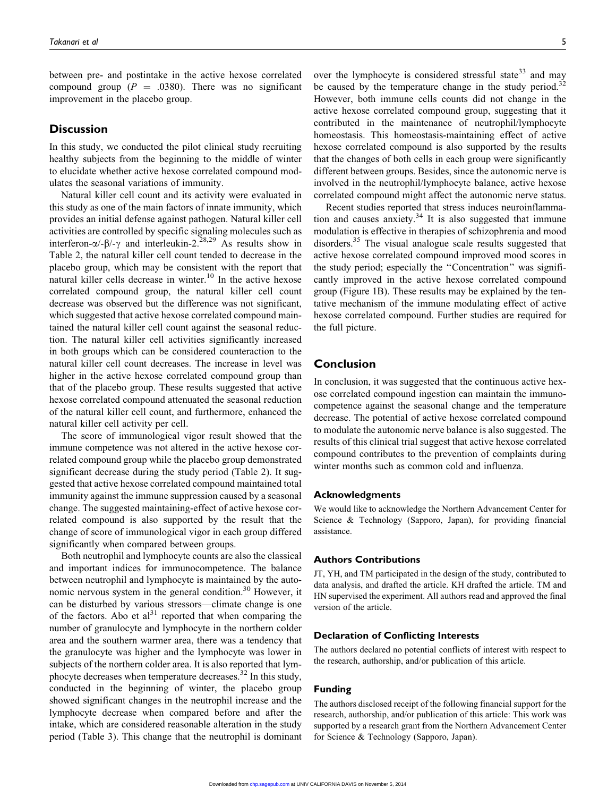between pre- and postintake in the active hexose correlated compound group ( $P = .0380$ ). There was no significant improvement in the placebo group.

## **Discussion**

In this study, we conducted the pilot clinical study recruiting healthy subjects from the beginning to the middle of winter to elucidate whether active hexose correlated compound modulates the seasonal variations of immunity.

Natural killer cell count and its activity were evaluated in this study as one of the main factors of innate immunity, which provides an initial defense against pathogen. Natural killer cell activities are controlled by specific signaling molecules such as interferon- $\alpha$ /- $\beta$ /- $\gamma$  and interleukin-2.<sup>28,29</sup> As results show in Table 2, the natural killer cell count tended to decrease in the placebo group, which may be consistent with the report that natural killer cells decrease in winter.<sup>10</sup> In the active hexose correlated compound group, the natural killer cell count decrease was observed but the difference was not significant, which suggested that active hexose correlated compound maintained the natural killer cell count against the seasonal reduction. The natural killer cell activities significantly increased in both groups which can be considered counteraction to the natural killer cell count decreases. The increase in level was higher in the active hexose correlated compound group than that of the placebo group. These results suggested that active hexose correlated compound attenuated the seasonal reduction of the natural killer cell count, and furthermore, enhanced the natural killer cell activity per cell.

The score of immunological vigor result showed that the immune competence was not altered in the active hexose correlated compound group while the placebo group demonstrated significant decrease during the study period (Table 2). It suggested that active hexose correlated compound maintained total immunity against the immune suppression caused by a seasonal change. The suggested maintaining-effect of active hexose correlated compound is also supported by the result that the change of score of immunological vigor in each group differed significantly when compared between groups.

Both neutrophil and lymphocyte counts are also the classical and important indices for immunocompetence. The balance between neutrophil and lymphocyte is maintained by the autonomic nervous system in the general condition.<sup>30</sup> However, it can be disturbed by various stressors—climate change is one of the factors. Abo et  $al<sup>31</sup>$  reported that when comparing the number of granulocyte and lymphocyte in the northern colder area and the southern warmer area, there was a tendency that the granulocyte was higher and the lymphocyte was lower in subjects of the northern colder area. It is also reported that lymphocyte decreases when temperature decreases. $^{32}$  In this study, conducted in the beginning of winter, the placebo group showed significant changes in the neutrophil increase and the lymphocyte decrease when compared before and after the intake, which are considered reasonable alteration in the study period (Table 3). This change that the neutrophil is dominant

over the lymphocyte is considered stressful state<sup>33</sup> and may be caused by the temperature change in the study period.<sup>32</sup> However, both immune cells counts did not change in the active hexose correlated compound group, suggesting that it contributed in the maintenance of neutrophil/lymphocyte homeostasis. This homeostasis-maintaining effect of active hexose correlated compound is also supported by the results that the changes of both cells in each group were significantly different between groups. Besides, since the autonomic nerve is involved in the neutrophil/lymphocyte balance, active hexose correlated compound might affect the autonomic nerve status.

Recent studies reported that stress induces neuroinflammation and causes anxiety. $34$  It is also suggested that immune modulation is effective in therapies of schizophrenia and mood disorders.<sup>35</sup> The visual analogue scale results suggested that active hexose correlated compound improved mood scores in the study period; especially the ''Concentration'' was significantly improved in the active hexose correlated compound group (Figure 1B). These results may be explained by the tentative mechanism of the immune modulating effect of active hexose correlated compound. Further studies are required for the full picture.

## Conclusion

In conclusion, it was suggested that the continuous active hexose correlated compound ingestion can maintain the immunocompetence against the seasonal change and the temperature decrease. The potential of active hexose correlated compound to modulate the autonomic nerve balance is also suggested. The results of this clinical trial suggest that active hexose correlated compound contributes to the prevention of complaints during winter months such as common cold and influenza.

#### Acknowledgments

We would like to acknowledge the Northern Advancement Center for Science & Technology (Sapporo, Japan), for providing financial assistance.

#### Authors Contributions

JT, YH, and TM participated in the design of the study, contributed to data analysis, and drafted the article. KH drafted the article. TM and HN supervised the experiment. All authors read and approved the final version of the article.

#### Declaration of Conflicting Interests

The authors declared no potential conflicts of interest with respect to the research, authorship, and/or publication of this article.

#### Funding

The authors disclosed receipt of the following financial support for the research, authorship, and/or publication of this article: This work was supported by a research grant from the Northern Advancement Center for Science & Technology (Sapporo, Japan).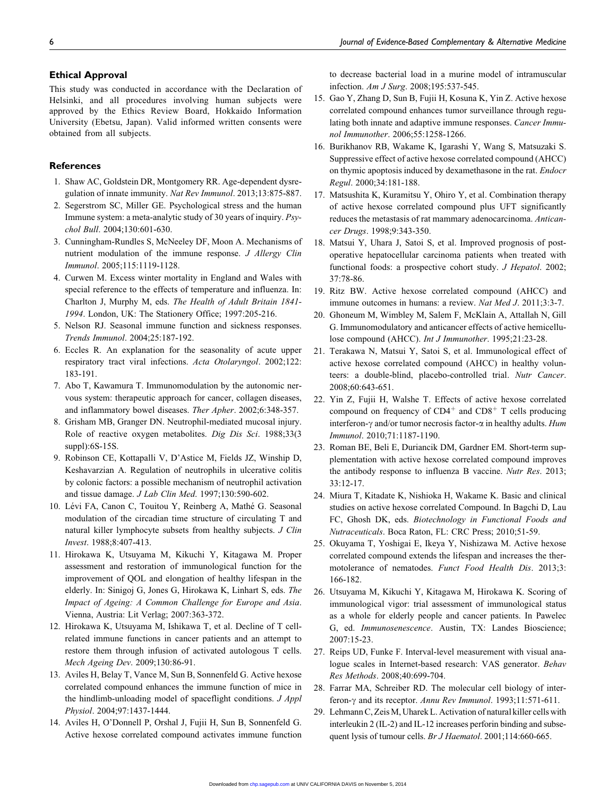### Ethical Approval

This study was conducted in accordance with the Declaration of Helsinki, and all procedures involving human subjects were approved by the Ethics Review Board, Hokkaido Information University (Ebetsu, Japan). Valid informed written consents were obtained from all subjects.

### **References**

- 1. Shaw AC, Goldstein DR, Montgomery RR. Age-dependent dysregulation of innate immunity. Nat Rev Immunol. 2013;13:875-887.
- 2. Segerstrom SC, Miller GE. Psychological stress and the human Immune system: a meta-analytic study of 30 years of inquiry. Psychol Bull. 2004;130:601-630.
- 3. Cunningham-Rundles S, McNeeley DF, Moon A. Mechanisms of nutrient modulation of the immune response. J Allergy Clin Immunol. 2005;115:1119-1128.
- 4. Curwen M. Excess winter mortality in England and Wales with special reference to the effects of temperature and influenza. In: Charlton J, Murphy M, eds. The Health of Adult Britain 1841- 1994. London, UK: The Stationery Office; 1997:205-216.
- 5. Nelson RJ. Seasonal immune function and sickness responses. Trends Immunol. 2004;25:187-192.
- 6. Eccles R. An explanation for the seasonality of acute upper respiratory tract viral infections. Acta Otolaryngol. 2002;122: 183-191.
- 7. Abo T, Kawamura T. Immunomodulation by the autonomic nervous system: therapeutic approach for cancer, collagen diseases, and inflammatory bowel diseases. Ther Apher. 2002;6:348-357.
- 8. Grisham MB, Granger DN. Neutrophil-mediated mucosal injury. Role of reactive oxygen metabolites. Dig Dis Sci. 1988;33(3 suppl):6S-15S.
- 9. Robinson CE, Kottapalli V, D'Astice M, Fields JZ, Winship D, Keshavarzian A. Regulation of neutrophils in ulcerative colitis by colonic factors: a possible mechanism of neutrophil activation and tissue damage. J Lab Clin Med. 1997;130:590-602.
- 10. Lévi FA, Canon C, Touitou Y, Reinberg A, Mathé G. Seasonal modulation of the circadian time structure of circulating T and natural killer lymphocyte subsets from healthy subjects. J Clin Invest. 1988;8:407-413.
- 11. Hirokawa K, Utsuyama M, Kikuchi Y, Kitagawa M. Proper assessment and restoration of immunological function for the improvement of QOL and elongation of healthy lifespan in the elderly. In: Sinigoj G, Jones G, Hirokawa K, Linhart S, eds. The Impact of Ageing: A Common Challenge for Europe and Asia. Vienna, Austria: Lit Verlag; 2007:363-372.
- 12. Hirokawa K, Utsuyama M, Ishikawa T, et al. Decline of T cellrelated immune functions in cancer patients and an attempt to restore them through infusion of activated autologous T cells. Mech Ageing Dev. 2009;130:86-91.
- 13. Aviles H, Belay T, Vance M, Sun B, Sonnenfeld G. Active hexose correlated compound enhances the immune function of mice in the hindlimb-unloading model of spaceflight conditions. J Appl Physiol. 2004;97:1437-1444.
- 14. Aviles H, O'Donnell P, Orshal J, Fujii H, Sun B, Sonnenfeld G. Active hexose correlated compound activates immune function

to decrease bacterial load in a murine model of intramuscular infection. Am J Surg. 2008;195:537-545.

- 15. Gao Y, Zhang D, Sun B, Fujii H, Kosuna K, Yin Z. Active hexose correlated compound enhances tumor surveillance through regulating both innate and adaptive immune responses. Cancer Immunol Immunother. 2006;55:1258-1266.
- 16. Burikhanov RB, Wakame K, Igarashi Y, Wang S, Matsuzaki S. Suppressive effect of active hexose correlated compound (AHCC) on thymic apoptosis induced by dexamethasone in the rat. Endocr Regul. 2000;34:181-188.
- 17. Matsushita K, Kuramitsu Y, Ohiro Y, et al. Combination therapy of active hexose correlated compound plus UFT significantly reduces the metastasis of rat mammary adenocarcinoma. Anticancer Drugs. 1998;9:343-350.
- 18. Matsui Y, Uhara J, Satoi S, et al. Improved prognosis of postoperative hepatocellular carcinoma patients when treated with functional foods: a prospective cohort study. *J Hepatol*. 2002; 37:78-86.
- 19. Ritz BW. Active hexose correlated compound (AHCC) and immune outcomes in humans: a review. Nat Med J. 2011;3:3-7.
- 20. Ghoneum M, Wimbley M, Salem F, McKlain A, Attallah N, Gill G. Immunomodulatory and anticancer effects of active hemicellulose compound (AHCC). Int J Immunother. 1995;21:23-28.
- 21. Terakawa N, Matsui Y, Satoi S, et al. Immunological effect of active hexose correlated compound (AHCC) in healthy volunteers: a double-blind, placebo-controlled trial. Nutr Cancer. 2008;60:643-651.
- 22. Yin Z, Fujii H, Walshe T. Effects of active hexose correlated compound on frequency of  $CD4^+$  and  $CD8^+$  T cells producing interferon- $\gamma$  and/or tumor necrosis factor- $\alpha$  in healthy adults. Hum Immunol. 2010;71:1187-1190.
- 23. Roman BE, Beli E, Duriancik DM, Gardner EM. Short-term supplementation with active hexose correlated compound improves the antibody response to influenza B vaccine. Nutr Res. 2013; 33:12-17.
- 24. Miura T, Kitadate K, Nishioka H, Wakame K. Basic and clinical studies on active hexose correlated Compound. In Bagchi D, Lau FC, Ghosh DK, eds. Biotechnology in Functional Foods and Nutraceuticals. Boca Raton, FL: CRC Press; 2010;51-59.
- 25. Okuyama T, Yoshigai E, Ikeya Y, Nishizawa M. Active hexose correlated compound extends the lifespan and increases the thermotolerance of nematodes. Funct Food Health Dis. 2013;3: 166-182.
- 26. Utsuyama M, Kikuchi Y, Kitagawa M, Hirokawa K. Scoring of immunological vigor: trial assessment of immunological status as a whole for elderly people and cancer patients. In Pawelec G, ed. Immunosenescence. Austin, TX: Landes Bioscience; 2007:15-23.
- 27. Reips UD, Funke F. Interval-level measurement with visual analogue scales in Internet-based research: VAS generator. Behav Res Methods. 2008;40:699-704.
- 28. Farrar MA, Schreiber RD. The molecular cell biology of interferon-g and its receptor. Annu Rev Immunol. 1993;11:571-611.
- 29. Lehmann C, Zeis M, Uharek L. Activation of natural killer cells with interleukin 2 (IL-2) and IL-12 increases perforin binding and subsequent lysis of tumour cells. Br J Haematol. 2001;114:660-665.